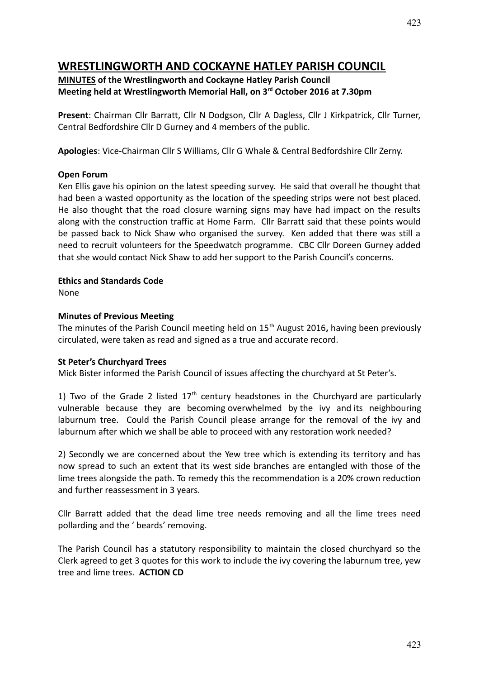# **WRESTLINGWORTH AND COCKAYNE HATLEY PARISH COUNCIL**

#### **MINUTES of the Wrestlingworth and Cockayne Hatley Parish Council Meeting held at Wrestlingworth Memorial Hall, on 3rd October 2016 at 7.30pm**

**Present**: Chairman Cllr Barratt, Cllr N Dodgson, Cllr A Dagless, Cllr J Kirkpatrick, Cllr Turner, Central Bedfordshire Cllr D Gurney and 4 members of the public.

**Apologies**: Vice-Chairman Cllr S Williams, Cllr G Whale & Central Bedfordshire Cllr Zerny.

#### **Open Forum**

Ken Ellis gave his opinion on the latest speeding survey. He said that overall he thought that had been a wasted opportunity as the location of the speeding strips were not best placed. He also thought that the road closure warning signs may have had impact on the results along with the construction traffic at Home Farm. Cllr Barratt said that these points would be passed back to Nick Shaw who organised the survey. Ken added that there was still a need to recruit volunteers for the Speedwatch programme. CBC Cllr Doreen Gurney added that she would contact Nick Shaw to add her support to the Parish Council's concerns.

#### **Ethics and Standards Code**

None

#### **Minutes of Previous Meeting**

The minutes of the Parish Council meeting held on 15th August 2016**,** having been previously circulated, were taken as read and signed as a true and accurate record.

#### **St Peter's Churchyard Trees**

Mick Bister informed the Parish Council of issues affecting the churchyard at St Peter's.

1) Two of the Grade 2 listed  $17<sup>th</sup>$  century headstones in the Churchyard are particularly vulnerable because they are becoming overwhelmed by the ivy and its neighbouring laburnum tree. Could the Parish Council please arrange for the removal of the ivy and laburnum after which we shall be able to proceed with any restoration work needed?

2) Secondly we are concerned about the Yew tree which is extending its territory and has now spread to such an extent that its west side branches are entangled with those of the lime trees alongside the path. To remedy this the recommendation is a 20% crown reduction and further reassessment in 3 years.

Cllr Barratt added that the dead lime tree needs removing and all the lime trees need pollarding and the ' beards' removing.

The Parish Council has a statutory responsibility to maintain the closed churchyard so the Clerk agreed to get 3 quotes for this work to include the ivy covering the laburnum tree, yew tree and lime trees. **ACTION CD**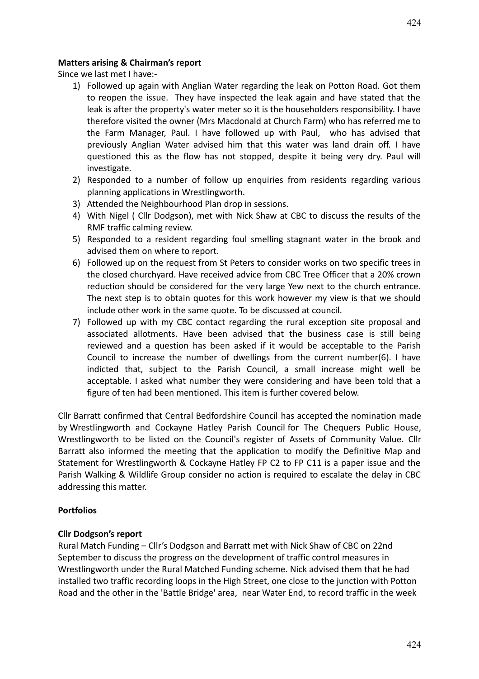#### **Matters arising & Chairman's report**

Since we last met I have:-

- 1) Followed up again with Anglian Water regarding the leak on Potton Road. Got them to reopen the issue. They have inspected the leak again and have stated that the leak is after the property's water meter so it is the householders responsibility. I have therefore visited the owner (Mrs Macdonald at Church Farm) who has referred me to the Farm Manager, Paul. I have followed up with Paul, who has advised that previously Anglian Water advised him that this water was land drain off. I have questioned this as the flow has not stopped, despite it being very dry. Paul will investigate.
- 2) Responded to a number of follow up enquiries from residents regarding various planning applications in Wrestlingworth.
- 3) Attended the Neighbourhood Plan drop in sessions.
- 4) With Nigel ( Cllr Dodgson), met with Nick Shaw at CBC to discuss the results of the RMF traffic calming review.
- 5) Responded to a resident regarding foul smelling stagnant water in the brook and advised them on where to report.
- 6) Followed up on the request from St Peters to consider works on two specific trees in the closed churchyard. Have received advice from CBC Tree Officer that a 20% crown reduction should be considered for the very large Yew next to the church entrance. The next step is to obtain quotes for this work however my view is that we should include other work in the same quote. To be discussed at council.
- 7) Followed up with my CBC contact regarding the rural exception site proposal and associated allotments. Have been advised that the business case is still being reviewed and a question has been asked if it would be acceptable to the Parish Council to increase the number of dwellings from the current number(6). I have indicted that, subject to the Parish Council, a small increase might well be acceptable. I asked what number they were considering and have been told that a figure of ten had been mentioned. This item is further covered below.

Cllr Barratt confirmed that Central Bedfordshire Council has accepted the nomination made by Wrestlingworth and Cockayne Hatley Parish Council for The Chequers Public House, Wrestlingworth to be listed on the Council's register of Assets of Community Value. Cllr Barratt also informed the meeting that the application to modify the Definitive Map and Statement for Wrestlingworth & Cockayne Hatley FP C2 to FP C11 is a paper issue and the Parish Walking & Wildlife Group consider no action is required to escalate the delay in CBC addressing this matter.

#### **Portfolios**

#### **Cllr Dodgson's report**

Rural Match Funding – Cllr's Dodgson and Barratt met with Nick Shaw of CBC on 22nd September to discuss the progress on the development of traffic control measures in Wrestlingworth under the Rural Matched Funding scheme. Nick advised them that he had installed two traffic recording loops in the High Street, one close to the junction with Potton Road and the other in the 'Battle Bridge' area, near Water End, to record traffic in the week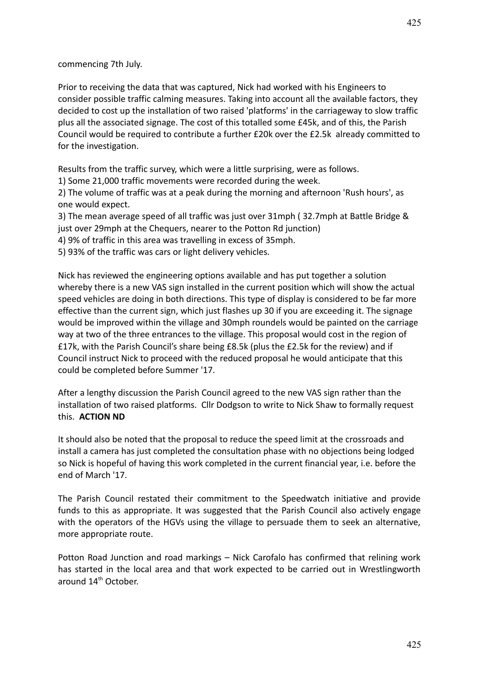commencing 7th July.

Prior to receiving the data that was captured, Nick had worked with his Engineers to consider possible traffic calming measures. Taking into account all the available factors, they decided to cost up the installation of two raised 'platforms' in the carriageway to slow traffic plus all the associated signage. The cost of this totalled some £45k, and of this, the Parish Council would be required to contribute a further £20k over the £2.5k already committed to for the investigation.

Results from the traffic survey, which were a little surprising, were as follows.

1) Some 21,000 traffic movements were recorded during the week.

2) The volume of traffic was at a peak during the morning and afternoon 'Rush hours', as one would expect.

3) The mean average speed of all traffic was just over 31mph ( 32.7mph at Battle Bridge & just over 29mph at the Chequers, nearer to the Potton Rd junction)

4) 9% of traffic in this area was travelling in excess of 35mph.

5) 93% of the traffic was cars or light delivery vehicles.

Nick has reviewed the engineering options available and has put together a solution whereby there is a new VAS sign installed in the current position which will show the actual speed vehicles are doing in both directions. This type of display is considered to be far more effective than the current sign, which just flashes up 30 if you are exceeding it. The signage would be improved within the village and 30mph roundels would be painted on the carriage way at two of the three entrances to the village. This proposal would cost in the region of £17k, with the Parish Council's share being £8.5k (plus the £2.5k for the review) and if Council instruct Nick to proceed with the reduced proposal he would anticipate that this could be completed before Summer '17.

After a lengthy discussion the Parish Council agreed to the new VAS sign rather than the installation of two raised platforms. Cllr Dodgson to write to Nick Shaw to formally request this. **ACTION ND**

It should also be noted that the proposal to reduce the speed limit at the crossroads and install a camera has just completed the consultation phase with no objections being lodged so Nick is hopeful of having this work completed in the current financial year, i.e. before the end of March '17.

The Parish Council restated their commitment to the Speedwatch initiative and provide funds to this as appropriate. It was suggested that the Parish Council also actively engage with the operators of the HGVs using the village to persuade them to seek an alternative, more appropriate route.

Potton Road Junction and road markings – Nick Carofalo has confirmed that relining work has started in the local area and that work expected to be carried out in Wrestlingworth around 14th October.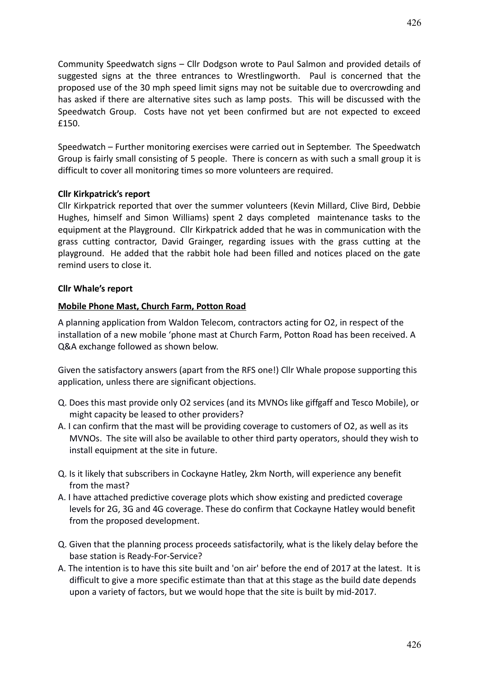Community Speedwatch signs – Cllr Dodgson wrote to Paul Salmon and provided details of suggested signs at the three entrances to Wrestlingworth. Paul is concerned that the proposed use of the 30 mph speed limit signs may not be suitable due to overcrowding and has asked if there are alternative sites such as lamp posts. This will be discussed with the Speedwatch Group. Costs have not yet been confirmed but are not expected to exceed £150.

Speedwatch – Further monitoring exercises were carried out in September. The Speedwatch Group is fairly small consisting of 5 people. There is concern as with such a small group it is difficult to cover all monitoring times so more volunteers are required.

#### **Cllr Kirkpatrick's report**

Cllr Kirkpatrick reported that over the summer volunteers (Kevin Millard, Clive Bird, Debbie Hughes, himself and Simon Williams) spent 2 days completed maintenance tasks to the equipment at the Playground. Cllr Kirkpatrick added that he was in communication with the grass cutting contractor, David Grainger, regarding issues with the grass cutting at the playground. He added that the rabbit hole had been filled and notices placed on the gate remind users to close it.

#### **Cllr Whale's report**

#### **Mobile Phone Mast, Church Farm, Potton Road**

A planning application from Waldon Telecom, contractors acting for O2, in respect of the installation of a new mobile 'phone mast at Church Farm, Potton Road has been received. A Q&A exchange followed as shown below.

Given the satisfactory answers (apart from the RFS one!) Cllr Whale propose supporting this application, unless there are significant objections.

- Q. Does this mast provide only O2 services (and its MVNOs like giffgaff and Tesco Mobile), or might capacity be leased to other providers?
- A. I can confirm that the mast will be providing coverage to customers of O2, as well as its MVNOs. The site will also be available to other third party operators, should they wish to install equipment at the site in future.
- Q. Is it likely that subscribers in Cockayne Hatley, 2km North, will experience any benefit from the mast?
- A. I have attached predictive coverage plots which show existing and predicted coverage levels for 2G, 3G and 4G coverage. These do confirm that Cockayne Hatley would benefit from the proposed development.
- Q. Given that the planning process proceeds satisfactorily, what is the likely delay before the base station is Ready-For-Service?
- A. The intention is to have this site built and 'on air' before the end of 2017 at the latest. It is difficult to give a more specific estimate than that at this stage as the build date depends upon a variety of factors, but we would hope that the site is built by mid-2017.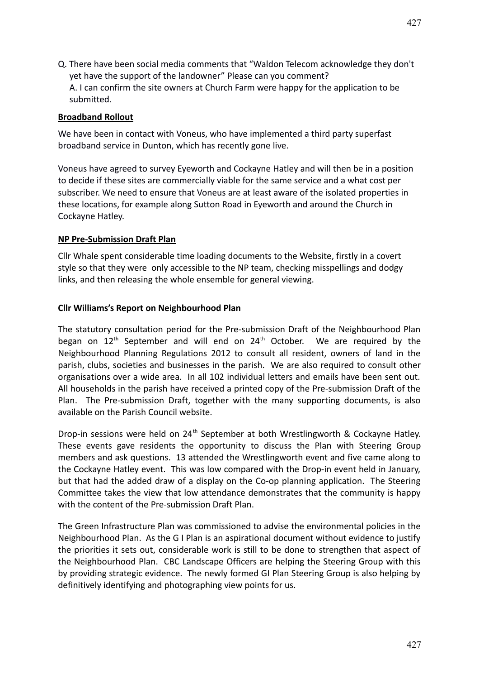Q. There have been social media comments that "Waldon Telecom acknowledge they don't yet have the support of the landowner" Please can you comment? A. I can confirm the site owners at Church Farm were happy for the application to be submitted.

#### **Broadband Rollout**

We have been in contact with Voneus, who have implemented a third party superfast broadband service in Dunton, which has recently gone live.

Voneus have agreed to survey Eyeworth and Cockayne Hatley and will then be in a position to decide if these sites are commercially viable for the same service and a what cost per subscriber. We need to ensure that Voneus are at least aware of the isolated properties in these locations, for example along Sutton Road in Eyeworth and around the Church in Cockayne Hatley.

#### **NP Pre-Submission Draft Plan**

Cllr Whale spent considerable time loading documents to the Website, firstly in a covert style so that they were only accessible to the NP team, checking misspellings and dodgy links, and then releasing the whole ensemble for general viewing.

#### **Cllr Williams's Report on Neighbourhood Plan**

The statutory consultation period for the Pre-submission Draft of the Neighbourhood Plan began on  $12<sup>th</sup>$  September and will end on  $24<sup>th</sup>$  October. We are required by the Neighbourhood Planning Regulations 2012 to consult all resident, owners of land in the parish, clubs, societies and businesses in the parish. We are also required to consult other organisations over a wide area. In all 102 individual letters and emails have been sent out. All households in the parish have received a printed copy of the Pre-submission Draft of the Plan. The Pre-submission Draft, together with the many supporting documents, is also available on the Parish Council website.

Drop-in sessions were held on 24<sup>th</sup> September at both Wrestlingworth & Cockayne Hatley. These events gave residents the opportunity to discuss the Plan with Steering Group members and ask questions. 13 attended the Wrestlingworth event and five came along to the Cockayne Hatley event. This was low compared with the Drop-in event held in January, but that had the added draw of a display on the Co-op planning application. The Steering Committee takes the view that low attendance demonstrates that the community is happy with the content of the Pre-submission Draft Plan.

The Green Infrastructure Plan was commissioned to advise the environmental policies in the Neighbourhood Plan. As the G I Plan is an aspirational document without evidence to justify the priorities it sets out, considerable work is still to be done to strengthen that aspect of the Neighbourhood Plan. CBC Landscape Officers are helping the Steering Group with this by providing strategic evidence. The newly formed GI Plan Steering Group is also helping by definitively identifying and photographing view points for us.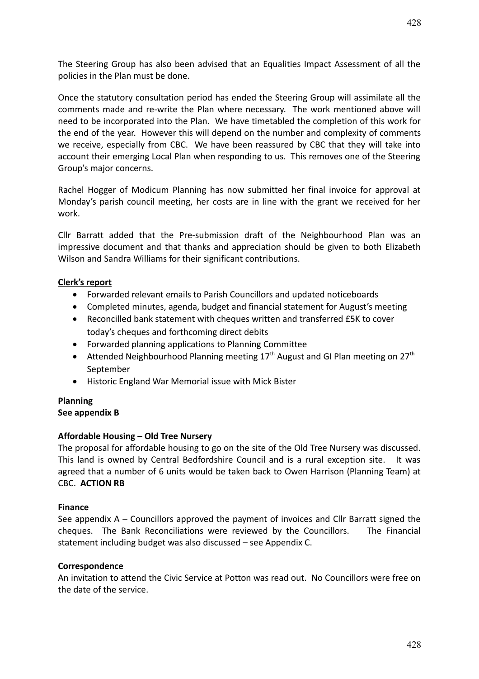The Steering Group has also been advised that an Equalities Impact Assessment of all the policies in the Plan must be done.

Once the statutory consultation period has ended the Steering Group will assimilate all the comments made and re-write the Plan where necessary. The work mentioned above will need to be incorporated into the Plan. We have timetabled the completion of this work for the end of the year. However this will depend on the number and complexity of comments we receive, especially from CBC. We have been reassured by CBC that they will take into account their emerging Local Plan when responding to us. This removes one of the Steering Group's major concerns.

Rachel Hogger of Modicum Planning has now submitted her final invoice for approval at Monday's parish council meeting, her costs are in line with the grant we received for her work.

Cllr Barratt added that the Pre-submission draft of the Neighbourhood Plan was an impressive document and that thanks and appreciation should be given to both Elizabeth Wilson and Sandra Williams for their significant contributions.

### **Clerk's report**

- Forwarded relevant emails to Parish Councillors and updated noticeboards
- Completed minutes, agenda, budget and financial statement for August's meeting
- Reconcilled bank statement with cheques written and transferred £5K to cover today's cheques and forthcoming direct debits
- Forwarded planning applications to Planning Committee
- Attended Neighbourhood Planning meeting  $17<sup>th</sup>$  August and GI Plan meeting on  $27<sup>th</sup>$ September
- Historic England War Memorial issue with Mick Bister

#### **Planning See appendix B**

#### **Affordable Housing – Old Tree Nursery**

The proposal for affordable housing to go on the site of the Old Tree Nursery was discussed. This land is owned by Central Bedfordshire Council and is a rural exception site. It was agreed that a number of 6 units would be taken back to Owen Harrison (Planning Team) at CBC. **ACTION RB**

#### **Finance**

See appendix A – Councillors approved the payment of invoices and Cllr Barratt signed the cheques. The Bank Reconciliations were reviewed by the Councillors. The Financial statement including budget was also discussed – see Appendix C.

#### **Correspondence**

An invitation to attend the Civic Service at Potton was read out. No Councillors were free on the date of the service.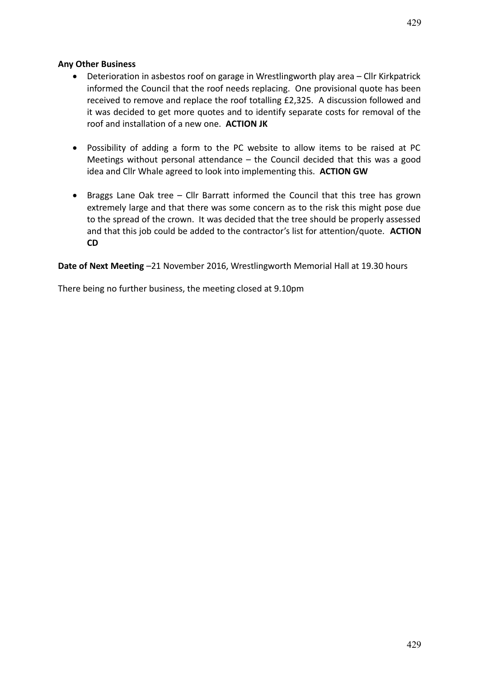## **Any Other Business**

- Deterioration in asbestos roof on garage in Wrestlingworth play area Cllr Kirkpatrick informed the Council that the roof needs replacing. One provisional quote has been received to remove and replace the roof totalling £2,325. A discussion followed and it was decided to get more quotes and to identify separate costs for removal of the roof and installation of a new one. **ACTION JK**
- Possibility of adding a form to the PC website to allow items to be raised at PC Meetings without personal attendance – the Council decided that this was a good idea and Cllr Whale agreed to look into implementing this. **ACTION GW**
- Braggs Lane Oak tree Cllr Barratt informed the Council that this tree has grown extremely large and that there was some concern as to the risk this might pose due to the spread of the crown. It was decided that the tree should be properly assessed and that this job could be added to the contractor's list for attention/quote. **ACTION CD**

**Date of Next Meeting** –21 November 2016, Wrestlingworth Memorial Hall at 19.30 hours

There being no further business, the meeting closed at 9.10pm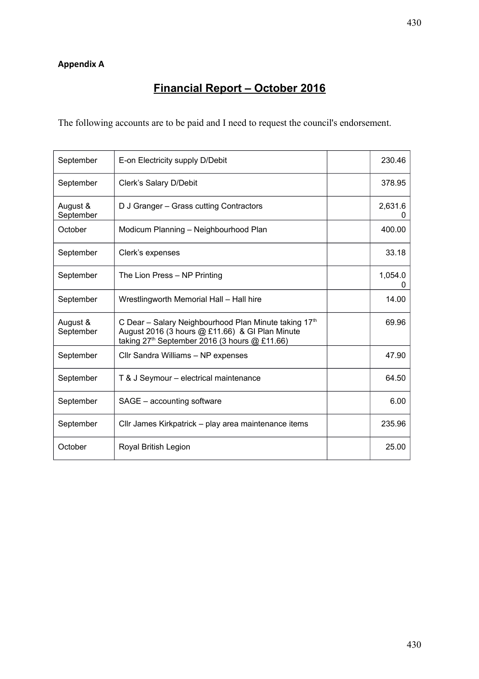# **Financial Report – October 2016**

The following accounts are to be paid and I need to request the council's endorsement.

| September             | E-on Electricity supply D/Debit                                                                                                                                         | 230.46  |
|-----------------------|-------------------------------------------------------------------------------------------------------------------------------------------------------------------------|---------|
| September             | Clerk's Salary D/Debit                                                                                                                                                  | 378.95  |
| August &<br>September | D J Granger - Grass cutting Contractors                                                                                                                                 | 2,631.6 |
| October               | Modicum Planning – Neighbourhood Plan                                                                                                                                   | 400.00  |
| September             | Clerk's expenses                                                                                                                                                        | 33.18   |
| September             | The Lion Press - NP Printing                                                                                                                                            | 1,054.0 |
| September             | Wrestlingworth Memorial Hall - Hall hire                                                                                                                                | 14.00   |
| August &<br>September | C Dear - Salary Neighbourhood Plan Minute taking 17 <sup>th</sup><br>August 2016 (3 hours @ £11.66) & GI Plan Minute<br>taking $27th$ September 2016 (3 hours @ £11.66) | 69.96   |
| September             | Cllr Sandra Williams - NP expenses                                                                                                                                      | 47.90   |
| September             | T & J Seymour - electrical maintenance                                                                                                                                  | 64.50   |
| September             | SAGE - accounting software                                                                                                                                              | 6.00    |
| September             | Cllr James Kirkpatrick - play area maintenance items                                                                                                                    | 235.96  |
| October               | Royal British Legion                                                                                                                                                    | 25.00   |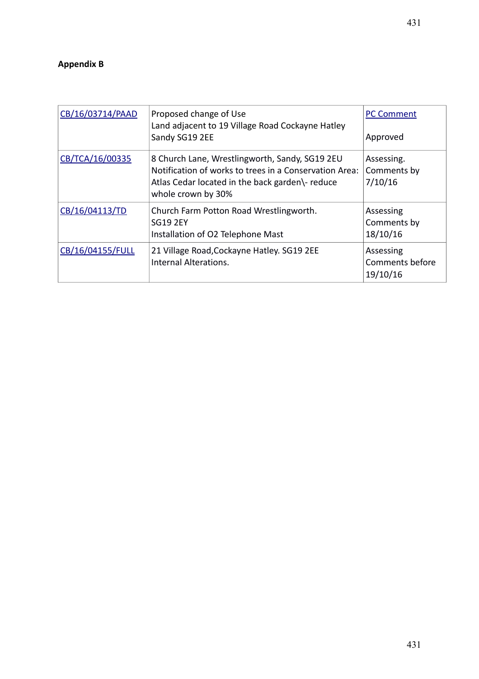| CB/16/03714/PAAD | Proposed change of Use<br>Land adjacent to 19 Village Road Cockayne Hatley<br>Sandy SG19 2EE                                                                                      | <b>PC Comment</b><br>Approved            |
|------------------|-----------------------------------------------------------------------------------------------------------------------------------------------------------------------------------|------------------------------------------|
| CB/TCA/16/00335  | 8 Church Lane, Wrestlingworth, Sandy, SG19 2EU<br>Notification of works to trees in a Conservation Area:<br>Atlas Cedar located in the back garden\- reduce<br>whole crown by 30% | Assessing.<br>Comments by<br>7/10/16     |
| CB/16/04113/TD   | Church Farm Potton Road Wrestlingworth.<br><b>SG19 2EY</b><br>Installation of O2 Telephone Mast                                                                                   | Assessing<br>Comments by<br>18/10/16     |
| CB/16/04155/FULL | 21 Village Road, Cockayne Hatley. SG19 2EE<br>Internal Alterations.                                                                                                               | Assessing<br>Comments before<br>19/10/16 |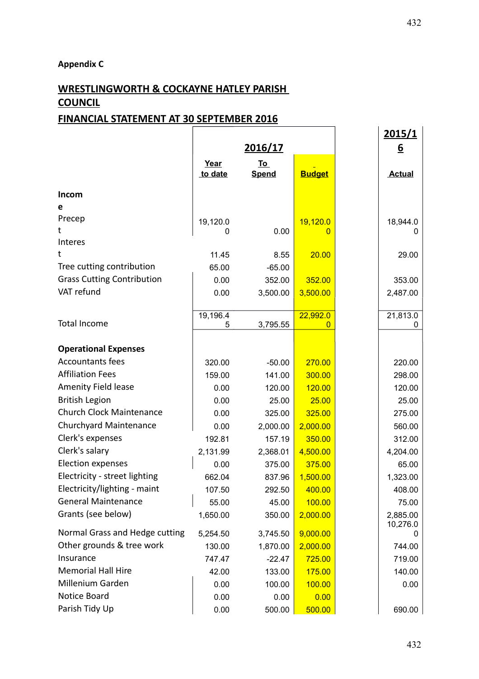# **Appendix C**

# **WRESTLINGWORTH & COCKAYNE HATLEY PARISH COUNCIL**

## **FINANCIAL STATEMENT AT 30 SEPTEMBER 2016**

|                                   |                 |                           |               | 2015/1        |
|-----------------------------------|-----------------|---------------------------|---------------|---------------|
|                                   | 2016/17         |                           |               | <u>6</u>      |
|                                   | Year<br>to date | <u>To</u><br><b>Spend</b> | <b>Budget</b> | <b>Actual</b> |
| Incom                             |                 |                           |               |               |
| е                                 |                 |                           |               |               |
| Precep                            | 19,120.0        |                           | 19,120.0      | 18,944.0      |
| t                                 | 0               | 0.00                      | O             |               |
| Interes                           |                 |                           |               |               |
| t                                 | 11.45           | 8.55                      | 20.00         | 29.00         |
| Tree cutting contribution         | 65.00           | $-65.00$                  |               |               |
| <b>Grass Cutting Contribution</b> | 0.00            | 352.00                    | 352.00        | 353.00        |
| VAT refund                        | 0.00            | 3,500.00                  | 3,500.00      | 2,487.00      |
|                                   |                 |                           |               |               |
|                                   | 19,196.4        |                           | 22,992.0      | 21,813.0      |
| <b>Total Income</b>               | 5               | 3,795.55                  | 0             | 0             |
| <b>Operational Expenses</b>       |                 |                           |               |               |
| <b>Accountants fees</b>           | 320.00          | $-50.00$                  | 270.00        | 220.00        |
| <b>Affiliation Fees</b>           | 159.00          | 141.00                    | 300.00        | 298.00        |
| <b>Amenity Field lease</b>        | 0.00            | 120.00                    | 120.00        |               |
| <b>British Legion</b>             |                 |                           |               | 120.00        |
| <b>Church Clock Maintenance</b>   | 0.00            | 25.00                     | 25.00         | 25.00         |
|                                   | 0.00            | 325.00                    | 325.00        | 275.00        |
| Churchyard Maintenance            | 0.00            | 2,000.00                  | 2,000.00      | 560.00        |
| Clerk's expenses                  | 192.81          | 157.19                    | 350.00        | 312.00        |
| Clerk's salary                    | 2,131.99        | 2,368.01                  | 4,500.00      | 4,204.00      |
| <b>Election expenses</b>          | 0.00            | 375.00                    | 375.00        | 65.00         |
| Electricity - street lighting     | 662.04          | 837.96                    | 1,500.00      | 1,323.00      |
| Electricity/lighting - maint      | 107.50          | 292.50                    | 400.00        | 408.00        |
| <b>General Maintenance</b>        | 55.00           | 45.00                     | 100.00        | 75.00         |
| Grants (see below)                | 1,650.00        | 350.00                    | 2,000.00      | 2,885.00      |
| Normal Grass and Hedge cutting    | 5,254.50        | 3,745.50                  | 9,000.00      | 10,276.0      |
| Other grounds & tree work         | 130.00          | 1,870.00                  | 2,000.00      | 744.00        |
| Insurance                         | 747.47          | $-22.47$                  | 725.00        | 719.00        |
| <b>Memorial Hall Hire</b>         | 42.00           | 133.00                    | 175.00        | 140.00        |
| Millenium Garden                  | 0.00            | 100.00                    | 100.00        | 0.00          |
| Notice Board                      | 0.00            | 0.00                      | 0.00          |               |
| Parish Tidy Up                    | 0.00            | 500.00                    | 500.00        | 690.00        |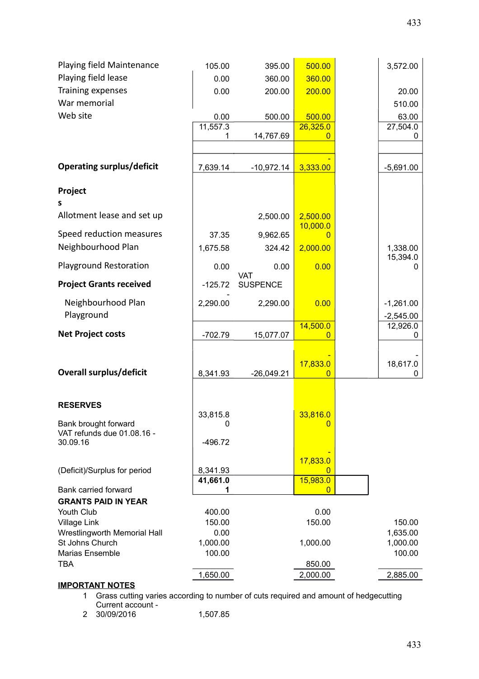| Playing field Maintenance           | 105.00                  | 395.00          | 500.00                     | 3,572.00    |
|-------------------------------------|-------------------------|-----------------|----------------------------|-------------|
| Playing field lease                 | 0.00                    | 360.00          | 360.00                     |             |
| Training expenses                   | 0.00                    | 200.00          | 200.00                     | 20.00       |
| War memorial                        |                         |                 |                            | 510.00      |
| Web site                            | 0.00                    | 500.00          | 500.00                     | 63.00       |
|                                     | 11,557.3                |                 | 26,325.0                   | 27,504.0    |
|                                     | 1                       | 14,767.69       | 0                          | 0           |
|                                     |                         |                 |                            |             |
|                                     |                         |                 |                            |             |
| <b>Operating surplus/deficit</b>    | 7,639.14                | $-10,972.14$    | 3,333.00                   | $-5,691.00$ |
|                                     |                         |                 |                            |             |
| Project                             |                         |                 |                            |             |
| s                                   |                         |                 |                            |             |
| Allotment lease and set up          |                         | 2,500.00        | 2,500.00                   |             |
| Speed reduction measures            | 37.35                   | 9,962.65        | 10,000.0<br>0              |             |
| Neighbourhood Plan                  | 1,675.58                | 324.42          | 2,000.00                   | 1,338.00    |
|                                     |                         |                 |                            | 15,394.0    |
| <b>Playground Restoration</b>       | 0.00                    | 0.00            | 0.00                       | 0           |
|                                     |                         | <b>VAT</b>      |                            |             |
| <b>Project Grants received</b>      | $-125.72$               | <b>SUSPENCE</b> |                            |             |
| Neighbourhood Plan                  | 2,290.00                | 2,290.00        | 0.00                       | $-1,261.00$ |
| Playground                          |                         |                 |                            | $-2,545.00$ |
|                                     |                         |                 | 14,500.0                   | 12,926.0    |
| <b>Net Project costs</b>            | $-702.79$               | 15,077.07       | 0                          | 0           |
|                                     |                         |                 |                            |             |
|                                     |                         |                 | 17,833.0                   | 18,617.0    |
| <b>Overall surplus/deficit</b>      | 8,341.93                | $-26,049.21$    | 0                          | 0           |
|                                     |                         |                 |                            |             |
|                                     |                         |                 |                            |             |
| <b>RESERVES</b>                     |                         |                 |                            |             |
| Bank brought forward                | 33,815.8<br>$\mathbf 0$ |                 | 33,816.0<br>$\overline{0}$ |             |
| VAT refunds due 01.08.16 -          |                         |                 |                            |             |
| 30.09.16                            | $-496.72$               |                 |                            |             |
|                                     |                         |                 |                            |             |
| (Deficit)/Surplus for period        | 8,341.93                |                 | 17,833.0<br>0              |             |
|                                     | 41,661.0                |                 | 15,983.0                   |             |
| <b>Bank carried forward</b>         |                         |                 | 0                          |             |
| <b>GRANTS PAID IN YEAR</b>          |                         |                 |                            |             |
| Youth Club                          | 400.00                  |                 | 0.00                       |             |
| <b>Village Link</b>                 | 150.00                  |                 | 150.00                     | 150.00      |
| <b>Wrestlingworth Memorial Hall</b> | 0.00                    |                 |                            | 1,635.00    |
| St Johns Church                     | 1,000.00                |                 | 1,000.00                   | 1,000.00    |
| Marias Ensemble                     | 100.00                  |                 |                            | 100.00      |
| <b>TBA</b>                          |                         |                 | 850.00                     |             |
| <b>IMPORTANT NOTES</b>              | 1,650.00                |                 | 2,000.00                   | 2,885.00    |
|                                     |                         |                 |                            |             |

#### 1 Grass cutting varies according to number of cuts required and amount of hedgecutting Current account -

2 30/09/2016 1,507.85 433